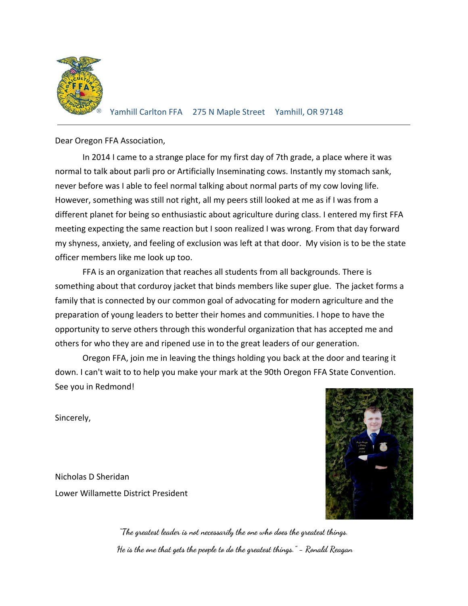

Dear Oregon FFA Association,

In 2014 I came to a strange place for my first day of 7th grade, a place where it was normal to talk about parli pro or Artificially Inseminating cows. Instantly my stomach sank, never before was I able to feel normal talking about normal parts of my cow loving life. However, something was still not right, all my peers still looked at me as if I was from a different planet for being so enthusiastic about agriculture during class. I entered my first FFA meeting expecting the same reaction but I soon realized I was wrong. From that day forward my shyness, anxiety, and feeling of exclusion was left at that door. My vision is to be the state officer members like me look up too.

FFA is an organization that reaches all students from all backgrounds. There is something about that corduroy jacket that binds members like super glue. The jacket forms a family that is connected by our common goal of advocating for modern agriculture and the preparation of young leaders to better their homes and communities. I hope to have the opportunity to serve others through this wonderful organization that has accepted me and others for who they are and ripened use in to the great leaders of our generation.

Oregon FFA, join me in leaving the things holding you back at the door and tearing it down. I can't wait to to help you make your mark at the 90th Oregon FFA State Convention. See you in Redmond!

Sincerely,

Nicholas D Sheridan Lower Willamette District President



**"The greatest leader is not necessarily the one who does the greatest things. He is the one that gets the people to do the greatest things." - Ronald Reagan**